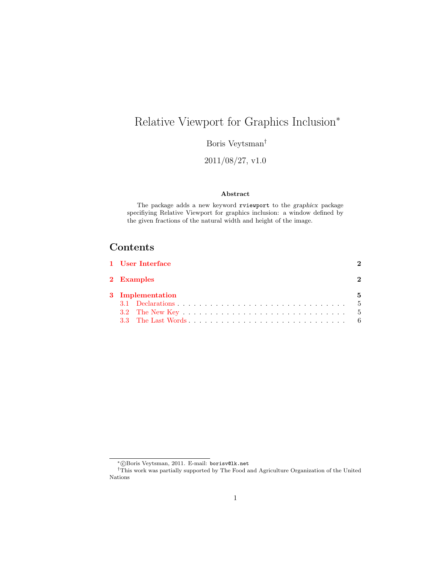# <span id="page-0-0"></span>Relative Viewport for Graphics Inclusion<sup>∗</sup>

Boris Veytsman†

2011/08/27, v1.0

#### Abstract

The package adds a new keyword rviewport to the graphicx package specifiying Relative Viewport for graphics inclusion: a window defined by the given fractions of the natural width and height of the image.

### Contents

| 1 User Interface |               |
|------------------|---------------|
| 2 Examples       | $\mathcal{D}$ |
| 3 Implementation | 5             |
|                  |               |
|                  |               |
|                  |               |

<sup>∗</sup> c Boris Veytsman, 2011. E-mail: borisv@lk.net

<sup>†</sup>This work was partially supported by The Food and Agriculture Organization of the United Nations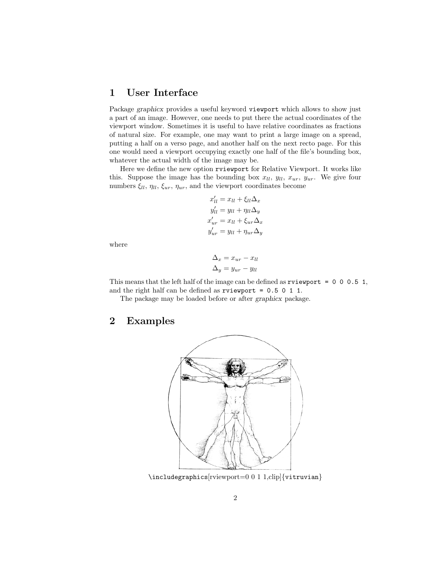#### <span id="page-1-0"></span>1 User Interface

Package graphicx provides a useful keyword viewport which allows to show just a part of an image. However, one needs to put there the actual coordinates of the viewport window. Sometimes it is useful to have relative coordinates as fractions of natural size. For example, one may want to print a large image on a spread, putting a half on a verso page, and another half on the next recto page. For this one would need a viewport occupying exactly one half of the file's bounding box, whatever the actual width of the image may be.

Here we define the new option rviewport for Relative Viewport. It works like this. Suppose the image has the bounding box  $x_{ll}$ ,  $y_{ll}$ ,  $x_{ur}$ ,  $y_{ur}$ . We give four numbers  $\xi_{ll}$ ,  $\eta_{ll}$ ,  $\xi_{ur}$ ,  $\eta_{ur}$ , and the viewport coordinates become

$$
x'_{ll} = x_{ll} + \xi_{ll} \Delta_x
$$
  
\n
$$
y'_{ll} = y_{ll} + \eta_{ll} \Delta_y
$$
  
\n
$$
x'_{ur} = x_{ll} + \xi_{ur} \Delta_x
$$
  
\n
$$
y'_{ur} = y_{ll} + \eta_{ur} \Delta_y
$$

where

$$
\Delta_x = x_{ur} - x_{ll}
$$

$$
\Delta_y = y_{ur} - y_{ll}
$$

This means that the left half of the image can be defined as  $\tau$  viewport = 0 0 0.5 1, and the right half can be defined as rviewport = 0.5 0 1 1.

The package may be loaded before or after graphicx package.

#### <span id="page-1-1"></span>2 Examples



\includegraphics[rviewport=0 0 1 1,clip]{vitruvian}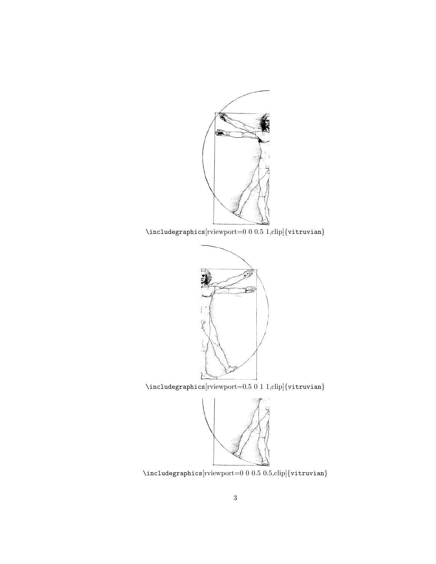

\includegraphics[rviewport=0 0 0.5 1,clip]{vitruvian}



 $\label{thm:main}$  <br> \includegraphics[rviewport=0.5 0 1 1,clip]{vitruvian}



 $\label{thm:1}$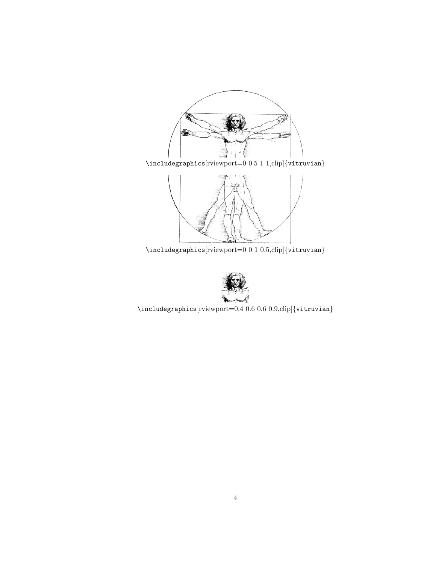

 $\label{thm:main}$  <br> \includegraphics[rviewport=0 0.5 1 1,clip]{vitruvian}



 $\label{thm:linear}$  <br> \includegraphics  $[\text{viewport}=0\ 0\ 1\ 0.5,\text{clip}]\{\text{vittuvian}\}$ 



 $\label{thm:1}$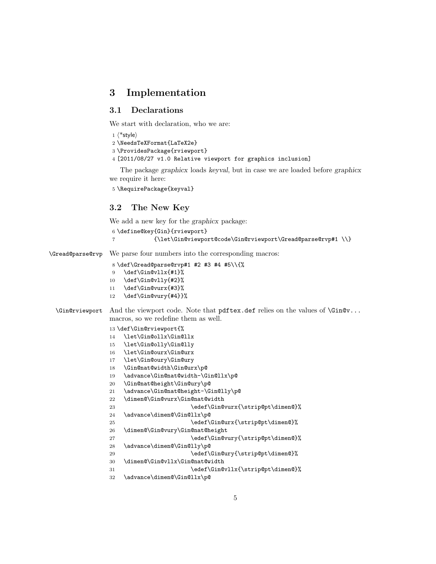#### <span id="page-4-0"></span>3 Implementation

#### <span id="page-4-1"></span>3.1 Declarations

We start with declaration, who we are:

```
1 (*style)=
```
\NeedsTeXFormat{LaTeX2e}

```
3 \ProvidesPackage{rviewport}
```
[2011/08/27 v1.0 Relative viewport for graphics inclusion]

The package graphicx loads keyval, but in case we are loaded before graphicx we require it here:

```
5 \RequirePackage{keyval}
```
#### <span id="page-4-2"></span>3.2 The New Key

We add a new key for the graphicx package:

```
6 \define@key{Gin}{rviewport}
                 7 {\let\Gin@viewport@code\Gin@rviewport\Gread@parse@rvp#1 \\}
\Gread@parse@rvp We parse four numbers into the corresponding macros:
                 8 \def\Gread@parse@rvp#1 #2 #3 #4 #5\\{%
                 9 \def\Gin@vllx{#1}%
                10 \def\Gin@vlly{#2}%
                11 \def\Gin@vurx{#3}%
                12 \def\Gin@vury{#4}}%
 \Gin@rviewport And the viewport code. Note that pdftex.def relies on the values of \Gin@v...
                macros, so we redefine them as well.
                13 \def\Gin@rviewport{%
                14 \let\Gin@ollx\Gin@llx
                15 \let\Gin@olly\Gin@lly
                16 \let\Gin@ourx\Gin@urx
                17 \let\Gin@oury\Gin@ury
                18 \Gin@nat@width\Gin@urx\p@
                19 \advance\Gin@nat@width-\Gin@llx\p@
                20 \Gin@nat@height\Gin@ury\p@
                21 \advance\Gin@nat@height-\Gin@lly\p@
                22 \dimen@\Gin@vurx\Gin@nat@width
                23 \edef\Gin@vurx{\strip@pt\dimen@}%
                24 \advance\dimen@\Gin@llx\p@
                25 \edef\Gin@urx{\strip@pt\dimen@}%
                26 \dimen@\Gin@vury\Gin@nat@height
```
- 27 \edef\Gin@vury{\strip@pt\dimen@}%
- \advance\dimen@\Gin@lly\p@
- 29 \edef\Gin@ury{\strip@pt\dimen@}%
- \dimen@\Gin@vllx\Gin@nat@width
- 31 \edef\Gin@vllx{\strip@pt\dimen@}%
- \advance\dimen@\Gin@llx\p@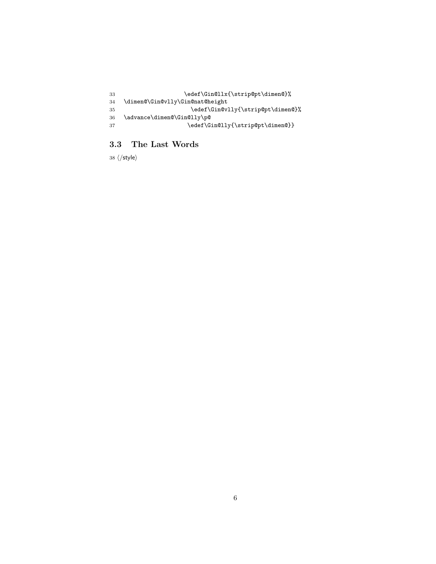```
33 \edef\Gin@llx{\strip@pt\dimen@}%
34 \dimen@\Gin@vlly\Gin@nat@height
35 \edef\Gin@vlly{\strip@pt\dimen@}%
36 \advance\dimen@\Gin@lly\p@
37 \edef\Gin@lly{\strip@pt\dimen@}}
```
#### <span id="page-5-0"></span>3.3 The Last Words

38  $\langle$ /style $\rangle$